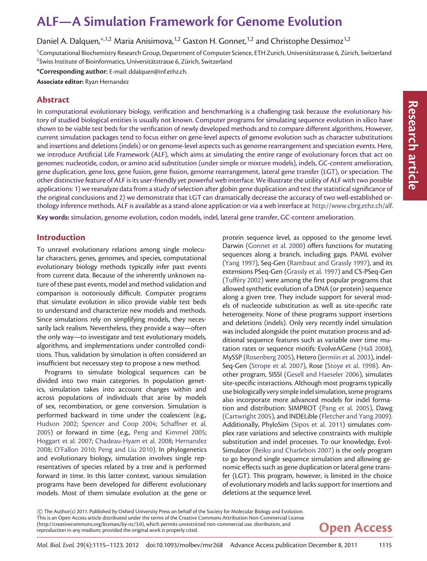# **ALF—A Simulation Framework for Genome Evolution**

Daniel A. Dalquen,<sup>\*,1,2</sup> Maria Anisimova,<sup>1,2</sup> Gaston H. Gonnet,<sup>1,2</sup> and Christophe Dessimoz<sup>1,2</sup>

 $^1$ Computational Biochemistry Research Group, Department of Computer Science, ETH Zurich, Universitätstrasse 6, Zürich, Switzerland  $2$ Swiss Institute of Bioinformatics, Universitätstrasse 6, Zürich, Switzerland

**\*Corresponding author:** E-mail: ddalquen@inf.ethz.ch. **Associate editor:** Ryan Hernandez

# **Abstract**

In computational evolutionary biology, verification and benchmarking is a challenging task because the evolutionary history of studied biological entities is usually not known. Computer programs for simulating sequence evolution in silico have shown to be viable test beds for the verification of newly developed methods and to compare different algorithms. However, current simulation packages tend to focus either on gene-level aspects of genome evolution such as character substitutions and insertions and deletions (indels) or on genome-level aspects such as genome rearrangement and speciation events. Here, we introduce Artificial Life Framework (ALF), which aims at simulating the entire range of evolutionary forces that act on genomes: nucleotide, codon, or amino acid substitution (under simple or mixture models), indels, GC-content amelioration, gene duplication, gene loss, gene fusion, gene fission, genome rearrangement, lateral gene transfer (LGT), or speciation. The other distinctive feature of ALF is its user-friendly yet powerful web interface. We illustrate the utility of ALF with two possible applications: 1) we reanalyze data from a study of selection after globin gene duplication and test the statistical significance of the original conclusions and 2) we demonstrate that LGT can dramatically decrease the accuracy of two well-established orthology inference methods. ALF is available as a stand-alone application or via a web interface at [http://www.cbrg.ethz.ch/alf.](http://www.cbrg.ethz.ch/alf)

**Key words:** simulation, genome evolution, codon models, indel, lateral gene transfer, GC-content amelioration.

# **Introduction**

To unravel evolutionary relations among single molecular characters, genes, genomes, and species, computational evolutionary biology methods typically infer past events from current data. Because of the inherently unknown nature of these past events, model and method validation and comparison is notoriously difficult. Computer programs that simulate evolution in silico provide viable test beds to understand and characterize new models and methods. Since simulations rely on simplifying models, they necessarily lack realism. Nevertheless, they provide a way—often the only way—to investigate and test evolutionary models, algorithms, and implementations under controlled conditions. Thus, validation by simulation is often considered an insufficient but necessary step to propose a new method.

Programs to simulate biological sequences can be divided into two main categories. In population genetics, simulation takes into account changes within and across populations of individuals that arise by models of sex, recombination, or gene conversion. Simulation is performed backward in time under the coalescent (e.g., [Hudson 2002](#page-7-0); [Spencer and Coop 2004;](#page-8-0) [Schaffner et al.](#page-8-0) [2005\)](#page-8-0) or forward in time (e.g., [Peng and Kimmel 2005;](#page-8-0) [Hoggart et al. 2007](#page-7-0); [Chadeau-Hyam et al. 2008;](#page-7-0) [Hernandez](#page-7-0) [2008;](#page-7-0) [O'Fallon 2010](#page-8-0); [Peng and Liu 2010](#page-8-0)). In phylogenetics and evolutionary biology, simulation involves single representatives of species related by a tree and is performed forward in time. In this latter context, various simulation programs have been developed for different evolutionary models. Most of them simulate evolution at the gene or

protein sequence level, as opposed to the genome level. Darwin [\(Gonnet et al. 2000](#page-7-0)) offers functions for mutating sequences along a branch, including gaps. PAML evolver ([Yang 1997](#page-8-0)), Seq-Gen [\(Rambaut and Grassly 1997](#page-8-0)), and its extensions PSeq-Gen ([Grassly et al. 1997](#page-7-0)) and CS-PSeq-Gen (Tufféry 2002) were among the first popular programs that allowed synthetic evolution of a DNA (or protein) sequence along a given tree. They include support for several models of nucleotide substitution as well as site-specific rate heterogeneity. None of these programs support insertions and deletions (indels). Only very recently indel simulation was included alongside the point mutation process and additional sequence features such as variable over time mutation rates or sequence motifs: EvolveAGene ([Hall 2008](#page-7-0)), MySSP ([Rosenberg 2005](#page-8-0)), Hetero ([Jermiin et al. 2003](#page-7-0)), indel-Seq-Gen ([Strope et al. 2007\)](#page-8-0), Rose ([Stoye et al. 1998](#page-8-0)). Another program, SISSI ([Gesell and Haeseler 2006](#page-7-0)), simulates site-specific interactions. Although most programs typically use biologically very simple indel simulation, some programs also incorporate more advanced models for indel formation and distribution: SIMPROT ([Pang et al. 2005\)](#page-8-0), Dawg ([Cartwright 2005\)](#page-7-0), and INDELible ([Fletcher and Yang 2009](#page-7-0)). Additionally, PhyloSim ([Sipos et al. 2011\)](#page-8-0) simulates complex rate variations and selective constraints with multiple substitution and indel processes. To our knowledge, Evol-Simulator ([Beiko and Charlebois 2007\)](#page-7-0) is the only program to go beyond single sequence simulation and allowing genomic effects such as gene duplication or lateral gene transfer (LGT). This program, however, is limited in the choice of evolutionary models and lacks support for insertions and deletions at the sequence level.

 c The Author(s) 2011. Published by Oxford University Press on behalf of the Society for Molecular Biology and Evolution. This is an Open Access article distributed under the terms of the Creative Commons Attribution Non-Commercial License (http://creativecommons.org/licenses/by-nc/3.0), which permits unrestricted non-commercial use, distribution, and reproduction in any medium, provided the original work is properly cited. **Open Access**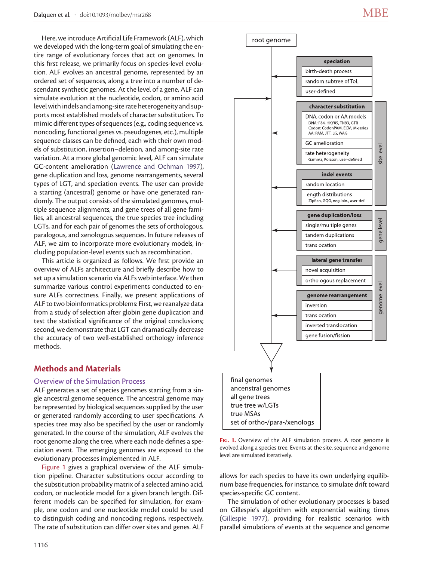<span id="page-1-0"></span>Here, we introduce Artificial Life Framework (ALF), which we developed with the long-term goal of simulating the entire range of evolutionary forces that act on genomes. In this first release, we primarily focus on species-level evolution. ALF evolves an ancestral genome, represented by an ordered set of sequences, along a tree into a number of descendant synthetic genomes. At the level of a gene, ALF can simulate evolution at the nucleotide, codon, or amino acid level with indels and among-site rate heterogeneity and supports most established models of character substitution. To mimic different types of sequences (e.g., coding sequence vs. noncoding, functional genes vs. pseudogenes, etc.), multiple sequence classes can be defined, each with their own models of substitution, insertion–deletion, and among-site rate variation. At a more global genomic level, ALF can simulate GC-content amelioration ([Lawrence and Ochman 1997](#page-8-0)), gene duplication and loss, genome rearrangements, several types of LGT, and speciation events. The user can provide a starting (ancestral) genome or have one generated randomly. The output consists of the simulated genomes, multiple sequence alignments, and gene trees of all gene families, all ancestral sequences, the true species tree including LGTs, and for each pair of genomes the sets of orthologous, paralogous, and xenologous sequences. In future releases of ALF, we aim to incorporate more evolutionary models, including population-level events such as recombination.

This article is organized as follows. We first provide an overview of ALFs architecture and briefly describe how to set up a simulation scenario via ALFs web interface. We then summarize various control experiments conducted to ensure ALFs correctness. Finally, we present applications of ALF to two bioinformatics problems: First, we reanalyze data from a study of selection after globin gene duplication and test the statistical significance of the original conclusions; second, we demonstrate that LGT can dramatically decrease the accuracy of two well-established orthology inference methods.

# **Methods and Materials**

#### Overview of the Simulation Process

ALF generates a set of species genomes starting from a single ancestral genome sequence. The ancestral genome may be represented by biological sequences supplied by the user or generated randomly according to user specifications. A species tree may also be specified by the user or randomly generated. In the course of the simulation, ALF evolves the root genome along the tree, where each node defines a speciation event. The emerging genomes are exposed to the evolutionary processes implemented in ALF.

Figure 1 gives a graphical overview of the ALF simulation pipeline. Character substitutions occur according to the substitution probability matrix of a selected amino acid, codon, or nucleotide model for a given branch length. Different models can be specified for simulation, for example, one codon and one nucleotide model could be used to distinguish coding and noncoding regions, respectively. The rate of substitution can differ over sites and genes. ALF



FIG. 1. Overview of the ALF simulation process. A root genome is evolved along a species tree. Events at the site, sequence and genome level are simulated iteratively.

allows for each species to have its own underlying equilibrium base frequencies, for instance, to simulate drift toward species-specific GC content.

The simulation of other evolutionary processes is based on Gillespie's algorithm with exponential waiting times ([Gillespie 1977\)](#page-7-0), providing for realistic scenarios with parallel simulations of events at the sequence and genome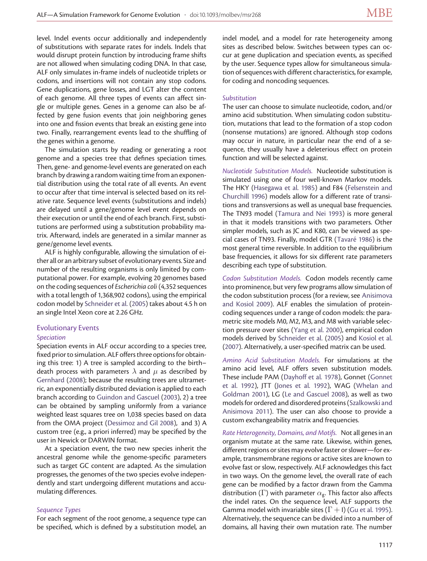level. Indel events occur additionally and independently of substitutions with separate rates for indels. Indels that would disrupt protein function by introducing frame shifts are not allowed when simulating coding DNA. In that case, ALF only simulates in-frame indels of nucleotide triplets or codons, and insertions will not contain any stop codons. Gene duplications, gene losses, and LGT alter the content of each genome. All three types of events can affect single or multiple genes. Genes in a genome can also be affected by gene fusion events that join neighboring genes into one and fission events that break an existing gene into two. Finally, rearrangement events lead to the shuffling of the genes within a genome.

The simulation starts by reading or generating a root genome and a species tree that defines speciation times. Then, gene- and genome-level events are generated on each branch by drawing a random waiting time from an exponential distribution using the total rate of all events. An event to occur after that time interval is selected based on its relative rate. Sequence level events (substitutions and indels) are delayed until a gene/genome level event depends on their execution or until the end of each branch. First, substitutions are performed using a substitution probability matrix. Afterward, indels are generated in a similar manner as gene/genome level events.

ALF is highly configurable, allowing the simulation of either all or an arbitrary subset of evolutionary events. Size and number of the resulting organisms is only limited by computational power. For example, evolving 20 genomes based on the coding sequences of *Escherichia coli* (4,352 sequences with a total length of 1,368,902 codons), using the empirical codon model by [Schneider et al.](#page-8-0) ([2005](#page-8-0)) takes about 4.5 h on an single Intel Xeon core at 2.26 GHz.

#### Evolutionary Events

#### *Speciation*

Speciation events in ALF occur according to a species tree, fixed prior to simulation. ALF offers three options for obtaining this tree: 1) A tree is sampled according to the birth– death process with parameters  $\lambda$  and  $\mu$  as described by [Gernhard](#page-7-0) [\(2008\)](#page-7-0); because the resulting trees are ultrametric, an exponentially distributed deviation is applied to each branch according to [Guindon and Gascuel](#page-7-0) [\(2003](#page-7-0)), 2) a tree can be obtained by sampling uniformly from a variance weighted least squares tree on 1,038 species based on data from the OMA project ([Dessimoz and Gil 2008](#page-7-0)), and 3) A custom tree (e.g., a priori inferred) may be specified by the user in Newick or DARWIN format.

At a speciation event, the two new species inherit the ancestral genome while the genome-specific parameters such as target GC content are adapted. As the simulation progresses, the genomes of the two species evolve independently and start undergoing different mutations and accumulating differences.

#### *Sequence Types*

For each segment of the root genome, a sequence type can be specified, which is defined by a substitution model, an indel model, and a model for rate heterogeneity among sites as described below. Switches between types can occur at gene duplication and speciation events, as specified by the user. Sequence types allow for simultaneous simulation of sequences with different characteristics, for example, for coding and noncoding sequences.

#### *Substitution*

The user can choose to simulate nucleotide, codon, and/or amino acid substitution. When simulating codon substitution, mutations that lead to the formation of a stop codon (nonsense mutations) are ignored. Although stop codons may occur in nature, in particular near the end of a sequence, they usually have a deleterious effect on protein function and will be selected against.

*Nucleotide Substitution Models.* Nucleotide substitution is simulated using one of four well-known Markov models. The HKY ([Hasegawa et al. 1985](#page-7-0)) and F84 ([Felsenstein and](#page-7-0) [Churchill 1996\)](#page-7-0) models allow for a different rate of transitions and transversions as well as unequal base frequencies. The TN93 model [\(Tamura and Nei 1993](#page-8-0)) is more general in that it models transitions with two parameters. Other simpler models, such as JC and K80, can be viewed as special cases of TN93. Finally, model GTR (Tavaré 1986) is the most general time reversible. In addition to the equilibrium base frequencies, it allows for six different rate parameters describing each type of substitution.

*Codon Substitution Models.* Codon models recently came into prominence, but very few programs allow simulation of the codon substitution process (for a review, see [Anisimova](#page-7-0) [and Kosiol 2009](#page-7-0)). ALF enables the simulation of proteincoding sequences under a range of codon models: the parametric site models M0, M2, M3, and M8 with variable selection pressure over sites ([Yang et al. 2000\)](#page-8-0), empirical codon models derived by [Schneider et al.](#page-8-0) [\(2005\)](#page-8-0) and [Kosiol et al.](#page-8-0) ([2007](#page-8-0)). Alternatively, a user-specified matrix can be used.

*Amino Acid Substitution Models.* For simulations at the amino acid level, ALF offers seven substitution models. These include PAM ([Dayhoff et al. 1978\)](#page-7-0), Gonnet ([Gonnet](#page-7-0) [et al. 1992](#page-7-0)), JTT [\(Jones et al. 1992\)](#page-8-0), WAG [\(Whelan and](#page-8-0) [Goldman 2001\)](#page-8-0), LG ([Le and Gascuel 2008\)](#page-8-0), as well as two models for ordered and disordered proteins ([Szalkowski and](#page-8-0) [Anisimova 2011](#page-8-0)). The user can also choose to provide a custom exchangeability matrix and frequencies.

*Rate Heterogeneity, Domains, and Motifs.* Not all genes in an organism mutate at the same rate. Likewise, within genes, different regions or sites may evolve faster or slower—for example, transmembrane regions or active sites are known to evolve fast or slow, respectively. ALF acknowledges this fact in two ways. On the genome level, the overall rate of each gene can be modified by a factor drawn from the Gamma distribution ( $\Gamma$ ) with parameter  $\alpha_{\bf g}.$  This factor also affects the indel rates. On the sequence level, ALF supports the Gamma model with invariable sites  $(\Gamma + I)$  ([Gu et al. 1995](#page-7-0)). Alternatively, the sequence can be divided into a number of domains, all having their own mutation rate. The number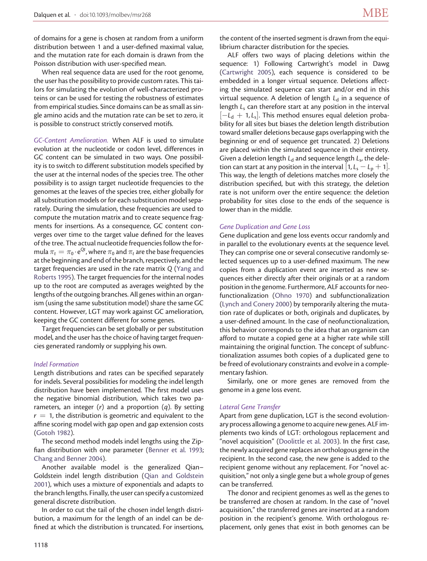of domains for a gene is chosen at random from a uniform distribution between 1 and a user-defined maximal value, and the mutation rate for each domain is drawn from the Poisson distribution with user-specified mean.

When real sequence data are used for the root genome, the user has the possibility to provide custom rates. This tailors for simulating the evolution of well-characterized proteins or can be used for testing the robustness of estimates from empirical studies. Since domains can be as small as single amino acids and the mutation rate can be set to zero, it is possible to construct strictly conserved motifs.

*GC-Content Amelioration.* When ALF is used to simulate evolution at the nucleotide or codon level, differences in GC content can be simulated in two ways. One possibility is to switch to different substitution models specified by the user at the internal nodes of the species tree. The other possibility is to assign target nucleotide frequencies to the genomes at the leaves of the species tree, either globally for all substitution models or for each substitution model separately. During the simulation, these frequencies are used to compute the mutation matrix and to create sequence fragments for insertions. As a consequence, GC content converges over time to the target value defined for the leaves of the tree. The actual nucleotide frequencies follow the formula  $\pi_t = \pi_0 \cdot e^{Qt}$ , where  $\pi_0$  and  $\pi_t$  are the base frequencies at the beginning and end of the branch, respectively, and the target frequencies are used in the rate matrix *Q* [\(Yang and](#page-8-0) [Roberts 1995\)](#page-8-0). The target frequencies for the internal nodes up to the root are computed as averages weighted by the lengths of the outgoing branches. All genes within an organism (using the same substitution model) share the same GC content. However, LGT may work against GC amelioration, keeping the GC content different for some genes.

Target frequencies can be set globally or per substitution model, and the user has the choice of having target frequencies generated randomly or supplying his own.

#### *Indel Formation*

Length distributions and rates can be specified separately for indels. Several possibilities for modeling the indel length distribution have been implemented. The first model uses the negative binomial distribution, which takes two parameters, an integer (*r*) and a proportion (*q*). By setting  $r = 1$ , the distribution is geometric and equivalent to the affine scoring model with gap open and gap extension costs ([Gotoh 1982](#page-7-0)).

The second method models indel lengths using the Zipfian distribution with one parameter ([Benner et al. 1993;](#page-7-0) [Chang and Benner 2004](#page-7-0)).

Another available model is the generalized Qian– Goldstein indel length distribution ([Qian and Goldstein](#page-8-0) [2001\)](#page-8-0), which uses a mixture of exponentials and adapts to the branch lengths. Finally, the user can specify a customized general discrete distribution.

In order to cut the tail of the chosen indel length distribution, a maximum for the length of an indel can be defined at which the distribution is truncated. For insertions, the content of the inserted segment is drawn from the equilibrium character distribution for the species.

ALF offers two ways of placing deletions within the sequence: 1) Following Cartwright's model in Dawg ([Cartwright 2005\)](#page-7-0), each sequence is considered to be embedded in a longer virtual sequence. Deletions affecting the simulated sequence can start and/or end in this virtual sequence. A deletion of length *L*<sub>d</sub> in a sequence of length *L<sub>s</sub>* can therefore start at any position in the interval  $[-L_d + 1, L_s]$ . This method ensures equal deletion probability for all sites but biases the deletion length distribution toward smaller deletions because gaps overlapping with the beginning or end of sequence get truncated. 2) Deletions are placed within the simulated sequence in their entirety. Given a deletion length *L*<sub>d</sub> and sequence length *L*<sub>s</sub>, the deletion can start at any position in the interval  $[1, L_s - L_p + 1]$ . This way, the length of deletions matches more closely the distribution specified, but with this strategy, the deletion rate is not uniform over the entire sequence: the deletion probability for sites close to the ends of the sequence is lower than in the middle.

#### *Gene Duplication and Gene Loss*

Gene duplication and gene loss events occur randomly and in parallel to the evolutionary events at the sequence level. They can comprise one or several consecutive randomly selected sequences up to a user-defined maximum. The new copies from a duplication event are inserted as new sequences either directly after their originals or at a random position in the genome. Furthermore, ALF accounts for neofunctionalization [\(Ohno 1970\)](#page-8-0) and subfunctionalization ([Lynch and Conery 2000\)](#page-8-0) by temporarily altering the mutation rate of duplicates or both, originals and duplicates, by a user-defined amount. In the case of neofunctionalization, this behavior corresponds to the idea that an organism can afford to mutate a copied gene at a higher rate while still maintaining the original function. The concept of subfunctionalization assumes both copies of a duplicated gene to be freed of evolutionary constraints and evolve in a complementary fashion.

Similarly, one or more genes are removed from the genome in a gene loss event.

#### *Lateral Gene Transfer*

Apart from gene duplication, LGT is the second evolutionary process allowing a genome to acquire new genes. ALF implements two kinds of LGT: orthologous replacement and "novel acquisition" ([Doolittle et al. 2003](#page-7-0)). In the first case, the newly acquired gene replaces an orthologous gene in the recipient. In the second case, the new gene is added to the recipient genome without any replacement. For "novel acquisition," not only a single gene but a whole group of genes can be transferred.

The donor and recipient genomes as well as the genes to be transferred are chosen at random. In the case of "novel acquisition," the transferred genes are inserted at a random position in the recipient's genome. With orthologous replacement, only genes that exist in both genomes can be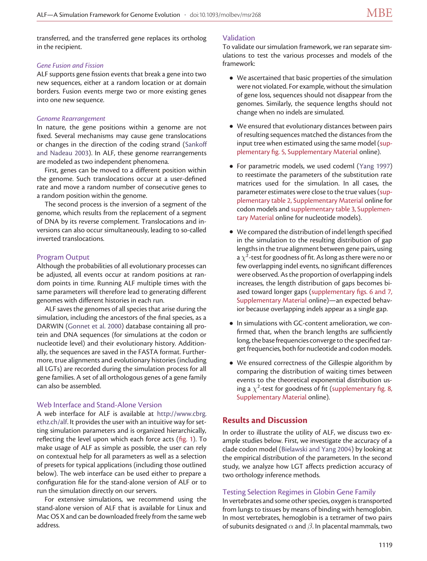transferred, and the transferred gene replaces its ortholog in the recipient.

#### *Gene Fusion and Fission*

ALF supports gene fission events that break a gene into two new sequences, either at a random location or at domain borders. Fusion events merge two or more existing genes into one new sequence.

#### *Genome Rearrangement*

In nature, the gene positions within a genome are not fixed. Several mechanisms may cause gene translocations or changes in the direction of the coding strand [\(Sankoff](#page-8-0) [and Nadeau 2003\)](#page-8-0). In ALF, these genome rearrangements are modeled as two independent phenomena.

First, genes can be moved to a different position within the genome. Such translocations occur at a user-defined rate and move a random number of consecutive genes to a random position within the genome.

The second process is the inversion of a segment of the genome, which results from the replacement of a segment of DNA by its reverse complement. Translocations and inversions can also occur simultaneously, leading to so-called inverted translocations.

### Program Output

Although the probabilities of all evolutionary processes can be adjusted, all events occur at random positions at random points in time. Running ALF multiple times with the same parameters will therefore lead to generating different genomes with different histories in each run.

ALF saves the genomes of all species that arise during the simulation, including the ancestors of the final species, as a DARWIN ([Gonnet et al. 2000](#page-7-0)) database containing all protein and DNA sequences (for simulations at the codon or nucleotide level) and their evolutionary history. Additionally, the sequences are saved in the FASTA format. Furthermore, true alignments and evolutionary histories (including all LGTs) are recorded during the simulation process for all gene families. A set of all orthologous genes of a gene family can also be assembled.

#### Web Interface and Stand-Alone Version

A web interface for ALF is available at [http://www.cbrg.](http://www.cbrg.ethz.ch/alf) [ethz.ch/alf.](http://www.cbrg.ethz.ch/alf) It provides the user with an intuitive way for setting simulation parameters and is organized hierarchically, reflecting the level upon which each force acts ([fig. 1](#page-1-0)). To make usage of ALF as simple as possible, the user can rely on contextual help for all parameters as well as a selection of presets for typical applications (including those outlined below). The web interface can be used either to prepare a configuration file for the stand-alone version of ALF or to run the simulation directly on our servers.

For extensive simulations, we recommend using the stand-alone version of ALF that is available for Linux and Mac OS X and can be downloaded freely from the same web address.

#### Validation

To validate our simulation framework, we ran separate simulations to test the various processes and models of the framework:

- We ascertained that basic properties of the simulation were not violated. For example, without the simulation of gene loss, sequences should not disappear from the genomes. Similarly, the sequence lengths should not change when no indels are simulated.
- We ensured that evolutionary distances between pairs of resulting sequences matched the distances from the input tree when estimated using the same model ([sup](http://www.mbe.oxfordjournals.org/lookup/suppl/doi:10.1093/molbev/msr268/-/DC1)[plementary fig. 5, Supplementary Material](http://www.mbe.oxfordjournals.org/lookup/suppl/doi:10.1093/molbev/msr268/-/DC1) online).
- For parametric models, we used codeml ([Yang 1997](#page-8-0)) to reestimate the parameters of the substitution rate matrices used for the simulation. In all cases, the parameter estimates were close to the true values ([sup](http://www.mbe.oxfordjournals.org/lookup/suppl/doi:10.1093/molbev/msr268/-/DC1)[plementary table 2, Supplementary Material](http://www.mbe.oxfordjournals.org/lookup/suppl/doi:10.1093/molbev/msr268/-/DC1) online for codon models and [supplementary table 3, Supplemen](http://www.mbe.oxfordjournals.org/lookup/suppl/doi:10.1093/molbev/msr268/-/DC1)[tary Material](http://www.mbe.oxfordjournals.org/lookup/suppl/doi:10.1093/molbev/msr268/-/DC1) online for nucleotide models).
- We compared the distribution of indel length specified in the simulation to the resulting distribution of gap lengths in the true alignment between gene pairs, using a  $\chi^2$ -test for goodness of fit. As long as there were no or few overlapping indel events, no significant differences were observed. As the proportion of overlapping indels increases, the length distribution of gaps becomes biased toward longer gaps ([supplementary figs. 6 and 7,](http://www.mbe.oxfordjournals.org/lookup/suppl/doi:10.1093/molbev/msr268/-/DC1) [Supplementary Material](http://www.mbe.oxfordjournals.org/lookup/suppl/doi:10.1093/molbev/msr268/-/DC1) online)—an expected behavior because overlapping indels appear as a single gap.
- In simulations with GC-content amelioration, we confirmed that, when the branch lengths are sufficiently long, the base frequencies converge to the specified target frequencies, both for nucleotide and codon models.
- We ensured correctness of the Gillespie algorithm by comparing the distribution of waiting times between events to the theoretical exponential distribution using a  $\chi^2$ -test for goodness of fit [\(supplementary fig. 8,](http://www.mbe.oxfordjournals.org/lookup/suppl/doi:10.1093/molbev/msr268/-/DC1) [Supplementary Material](http://www.mbe.oxfordjournals.org/lookup/suppl/doi:10.1093/molbev/msr268/-/DC1) online).

# **Results and Discussion**

In order to illustrate the utility of ALF, we discuss two example studies below. First, we investigate the accuracy of a clade codon model [\(Bielawski and Yang 2004](#page-7-0)) by looking at the empirical distribution of the parameters. In the second study, we analyze how LGT affects prediction accuracy of two orthology inference methods.

# Testing Selection Regimes in Globin Gene Family

In vertebrates and some other species, oxygen is transported from lungs to tissues by means of binding with hemoglobin. In most vertebrates, hemoglobin is a tetramer of two pairs of subunits designated  $\alpha$  and  $\beta$ . In placental mammals, two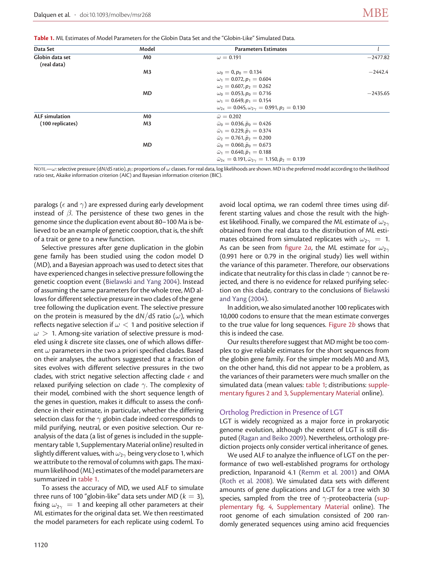<span id="page-5-0"></span>**Table 1.** ML Estimates of Model Parameters for the Globin Data Set and the "Globin-Like" Simulated Data.

| Data Set              | Model          | <b>Parameters Estimates</b>                                                           |            |
|-----------------------|----------------|---------------------------------------------------------------------------------------|------------|
| Globin data set       | M0             | $\omega = 0.191$                                                                      | $-2477.82$ |
| (real data)           |                |                                                                                       |            |
|                       | M <sub>3</sub> | $\omega_0 = 0, p_0 = 0.134$                                                           | $-2442.4$  |
|                       |                | $\omega_1 = 0.072$ , $p_1 = 0.604$                                                    |            |
|                       |                | $\omega_2 = 0.607, p_2 = 0.262$                                                       |            |
|                       | <b>MD</b>      | $\omega_0 = 0.053$ , $p_0 = 0.716$                                                    | $-2435.65$ |
|                       |                | $\omega_1 = 0.649, p_1 = 0.154$                                                       |            |
|                       |                | $\omega_{2\epsilon} = 0.045, \omega_{2\gamma} = 0.991, p_2 = 0.130$                   |            |
| <b>ALF</b> simulation | M0             | $\bar{\omega} = 0.202$                                                                |            |
| (100 replicates)      | M3             | $\bar{\omega}_0 = 0.036, \bar{p}_0 = 0.426$                                           |            |
|                       |                | $\bar{\omega}_1 = 0.229, \bar{p}_1 = 0.374$                                           |            |
|                       |                | $\bar{\omega}_2 = 0.761, \bar{p}_2 = 0.200$                                           |            |
|                       | <b>MD</b>      | $\bar{\omega}_0 = 0.060, \bar{p}_0 = 0.673$                                           |            |
|                       |                | $\bar{\omega}_1 = 0.640, \bar{p}_1 = 0.188$                                           |            |
|                       |                | $\bar{\omega}_{2\epsilon} = 0.191, \bar{\omega}_{2\gamma} = 1.150, \bar{p}_2 = 0.139$ |            |

NOTE.—ω: selective pressure (d*N*/d*S* ratio), *pi*: proportions of ω classes. For real data, log likelihoods are shown. MD is the preferred model according to the likelihood ratio test, Akaike information criterion (AIC) and Bayesian information criterion (BIC).

paralogs ( $\epsilon$  and  $\gamma$ ) are expressed during early development instead of  $\beta$ . The persistence of these two genes in the genome since the duplication event about 80–100 Ma is believed to be an example of genetic cooption, that is, the shift of a trait or gene to a new function.

Selective pressures after gene duplication in the globin gene family has been studied using the codon model D (MD), and a Bayesian approach was used to detect sites that have experienced changes in selective pressure following the genetic cooption event [\(Bielawski and Yang 2004](#page-7-0)). Instead of assuming the same parameters for the whole tree, MD allows for different selective pressure in two clades of the gene tree following the duplication event. The selective pressure on the protein is measured by the  $dN/dS$  ratio ( $\omega$ ), which reflects negative selection if  $\omega$  < 1 and positive selection if  $\omega > 1$ . Among-site variation of selective pressure is modeled using *k* discrete site classes, one of which allows different  $\omega$  parameters in the two a priori specified clades. Based on their analyses, the authors suggested that a fraction of sites evolves with different selective pressures in the two clades, with strict negative selection affecting clade  $\epsilon$  and relaxed purifying selection on clade  $\gamma$ . The complexity of their model, combined with the short sequence length of the genes in question, makes it difficult to assess the confidence in their estimate, in particular, whether the differing selection class for the  $\gamma$  globin clade indeed corresponds to mild purifying, neutral, or even positive selection. Our reanalysis of the data (a list of genes is included in the supplementary table 1, Supplementary Material online) resulted in slightly different values, with  $\omega_{2\gamma}$  being very close to 1, which we attribute to the removal of columns with gaps. The maximum likelihood (ML) estimates of the model parameters are summarized in table 1.

To assess the accuracy of MD, we used ALF to simulate three runs of 100 "globin-like" data sets under MD ( $k = 3$ ), fixing  $\omega_{2\gamma} = 1$  and keeping all other parameters at their ML estimates for the original data set. We then reestimated the model parameters for each replicate using codeml. To avoid local optima, we ran codeml three times using different starting values and chose the result with the highest likelihood. Finally, we compared the ML estimate of  $\omega_{2\gamma}$ obtained from the real data to the distribution of ML estimates obtained from simulated replicates with  $\omega_{2\gamma} = 1$ . As can be seen from [figure 2](#page-6-0)*a*, the ML estimate for  $\omega_{2\gamma}$ (0.991 here or 0.79 in the original study) lies well within the variance of this parameter. Therefore, our observations indicate that neutrality for this class in clade  $\gamma$  cannot be rejected, and there is no evidence for relaxed purifying selection on this clade, contrary to the conclusions of [Bielawski](#page-7-0) [and Yang](#page-7-0) ([2004](#page-7-0)).

In addition, we also simulated another 100 replicates with 10,000 codons to ensure that the mean estimate converges to the true value for long sequences. [Figure 2](#page-6-0)*b* shows that this is indeed the case.

Our results therefore suggest that MD might be too complex to give reliable estimates for the short sequences from the globin gene family. For the simpler models M0 and M3, on the other hand, this did not appear to be a problem, as the variances of their parameters were much smaller on the simulated data (mean values: table 1; distributions: [supple](http://www.mbe.oxfordjournals.org/lookup/suppl/doi:10.1093/molbev/msr268/-/DC1)[mentary figures 2 and 3, Supplementary Material](http://www.mbe.oxfordjournals.org/lookup/suppl/doi:10.1093/molbev/msr268/-/DC1) online).

#### Ortholog Prediction in Presence of LGT

LGT is widely recognized as a major force in prokaryotic genome evolution, although the extent of LGT is still disputed ([Ragan and Beiko 2009](#page-8-0)). Nevertheless, orthology prediction projects only consider vertical inheritance of genes.

We used ALF to analyze the influence of LGT on the performance of two well-established programs for orthology prediction, Inparanoid 4.1 [\(Remm et al. 2001](#page-8-0)) and OMA ([Roth et al. 2008\)](#page-8-0). We simulated data sets with different amounts of gene duplications and LGT for a tree with 30 species, sampled from the tree of  $\gamma$ -proteobacteria ([sup](http://www.mbe.oxfordjournals.org/lookup/suppl/doi:10.1093/molbev/msr268/-/DC1)[plementary fig. 4, Supplementary Material](http://www.mbe.oxfordjournals.org/lookup/suppl/doi:10.1093/molbev/msr268/-/DC1) online). The root genome of each simulation consisted of 200 randomly generated sequences using amino acid frequencies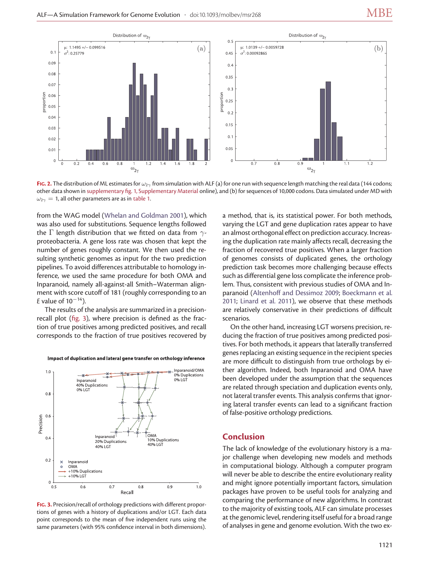<span id="page-6-0"></span>

**FIG. 2.** The distribution of ML estimates for  $\omega_{2\gamma}$  from simulation with ALF (a) for one run with sequence length matching the real data (144 codons; other data shown in [supplementary fig. 1, Supplementary Material](http://www.mbe.oxfordjournals.org/lookup/suppl/doi:10.1093/molbev/msr268/-/DC1) online), and (b) for sequences of 10,000 codons. Data simulated under MD with  $\omega_{2\gamma} = 1$ , all other parameters are as in [table 1](#page-5-0).

from the WAG model [\(Whelan and Goldman 2001](#page-8-0)), which was also used for substitutions. Sequence lengths followed the  $\Gamma$  length distribution that we fitted on data from  $\gamma$ proteobacteria. A gene loss rate was chosen that kept the number of genes roughly constant. We then used the resulting synthetic genomes as input for the two prediction pipelines. To avoid differences attributable to homology inference, we used the same procedure for both OMA and Inparanoid, namely all-against-all Smith–Waterman alignment with score cutoff of 181 (roughly corresponding to an *E* value of 10−14).

The results of the analysis are summarized in a precisionrecall plot (fig. 3), where precision is defined as the fraction of true positives among predicted positives, and recall corresponds to the fraction of true positives recovered by



Impact of duplication and lateral gene transfer on orthology inference

**FIG. 3.** Precision/recall of orthology predictions with different proportions of genes with a history of duplications and/or LGT. Each data point corresponds to the mean of five independent runs using the same parameters (with 95% confidence interval in both dimensions).

a method, that is, its statistical power. For both methods, varying the LGT and gene duplication rates appear to have an almost orthogonal effect on prediction accuracy. Increasing the duplication rate mainly affects recall, decreasing the fraction of recovered true positives. When a larger fraction of genomes consists of duplicated genes, the orthology prediction task becomes more challenging because effects such as differential gene loss complicate the inference problem. Thus, consistent with previous studies of OMA and Inparanoid ([Altenhoff and Dessimoz 2009;](#page-7-0) [Boeckmann et al.](#page-7-0) [2011;](#page-7-0) [Linard et al. 2011](#page-8-0)), we observe that these methods are relatively conservative in their predictions of difficult scenarios.

On the other hand, increasing LGT worsens precision, reducing the fraction of true positives among predicted positives. For both methods, it appears that laterally transferred genes replacing an existing sequence in the recipient species are more difficult to distinguish from true orthologs by either algorithm. Indeed, both Inparanoid and OMA have been developed under the assumption that the sequences are related through speciation and duplication events only, not lateral transfer events. This analysis confirms that ignoring lateral transfer events can lead to a significant fraction of false-positive orthology predictions.

### **Conclusion**

The lack of knowledge of the evolutionary history is a major challenge when developing new models and methods in computational biology. Although a computer program will never be able to describe the entire evolutionary reality and might ignore potentially important factors, simulation packages have proven to be useful tools for analyzing and comparing the performance of new algorithms. In contrast to the majority of existing tools, ALF can simulate processes at the genomic level, rendering itself useful for a broad range of analyses in gene and genome evolution. With the two ex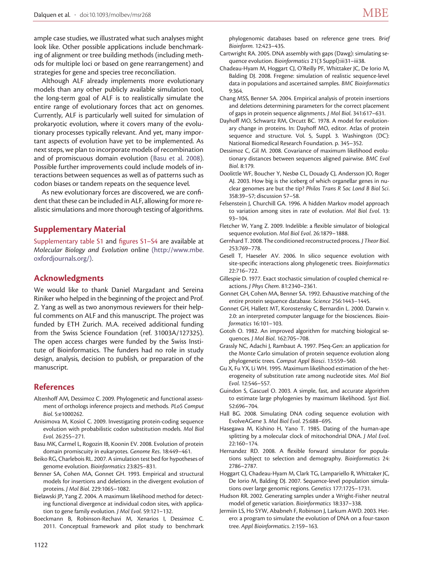<span id="page-7-0"></span>ample case studies, we illustrated what such analyses might look like. Other possible applications include benchmarking of alignment or tree building methods (including methods for multiple loci or based on gene rearrangement) and strategies for gene and species tree reconciliation.

Although ALF already implements more evolutionary models than any other publicly available simulation tool, the long-term goal of ALF is to realistically simulate the entire range of evolutionary forces that act on genomes. Currently, ALF is particularly well suited for simulation of prokaryotic evolution, where it covers many of the evolutionary processes typically relevant. And yet, many important aspects of evolution have yet to be implemented. As next steps, we plan to incorporate models of recombination and of promiscuous domain evolution (Basu et al. 2008). Possible further improvements could include models of interactions between sequences as well as of patterns such as codon biases or tandem repeats on the sequence level.

As new evolutionary forces are discovered, we are confident that these can be included in ALF, allowing for more realistic simulations and more thorough testing of algorithms.

# **Supplementary Material**

[Supplementary table S1](http://www.mbe.oxfordjournals.org/lookup/suppl/doi:10.1093/molbev/msr268/-/DC1) and [figures S1–S4](http://www.mbe.oxfordjournals.org/lookup/suppl/doi:10.1093/molbev/msr268/-/DC1) are available at *Molecular Biology and Evolution* online (http://www.mbe. oxfordjournals.org/).

#### **Acknowledgments**

We would like to thank Daniel Margadant and Sereina Riniker who helped in the beginning of the project and Prof. Z. Yang as well as two anonymous reviewers for their helpful comments on ALF and this manuscript. The project was funded by ETH Zurich. M.A. received additional funding from the Swiss Science Foundation (ref. 31003A/127325). The open access charges were funded by the Swiss Institute of Bioinformatics. The funders had no role in study design, analysis, decision to publish, or preparation of the manuscript.

#### **References**

- Altenhoff AM, Dessimoz C. 2009. Phylogenetic and functional assessment of orthologs inference projects and methods. *PLoS Comput Biol*. 5:e1000262.
- Anisimova M, Kosiol C. 2009. Investigating protein-coding sequence evolution with probabilistic codon substitution models. *Mol Biol Evol*. 26:255–271.
- Basu MK, Carmel L, Rogozin IB, Koonin EV. 2008. Evolution of protein domain promiscuity in eukaryotes. *Genome Res*. 18:449–461.
- Beiko RG, Charlebois RL. 2007. A simulation test bed for hypotheses of genome evolution. *Bioinformatics* 23:825–831.
- Benner SA, Cohen MA, Gonnet GH. 1993. Empirical and structural models for insertions and deletions in the divergent evolution of proteins. *J Mol Biol*. 229:1065–1082.
- Bielawski JP, Yang Z. 2004. A maximum likelihood method for detecting functional divergence at individual codon sites, with application to gene family evolution. *J Mol Evol*. 59:121–132.
- Boeckmann B, Robinson-Rechavi M, Xenarios I, Dessimoz C. 2011. Conceptual framework and pilot study to benchmark

phylogenomic databases based on reference gene trees. *Brief Bioinform.* 12:423–435.

- Cartwright RA. 2005. DNA assembly with gaps (Dawg): simulating sequence evolution. *Bioinformatics* 21(3 Suppl):iii31–iii38.
- Chadeau-Hyam M, Hoggart CJ, O'Reilly PF, Whittaker JC, De Iorio M, Balding DJ. 2008. Fregene: simulation of realistic sequence-level data in populations and ascertained samples. *BMC Bioinformatics* 9:364.
- Chang MSS, Benner SA. 2004. Empirical analysis of protein insertions and deletions determining parameters for the correct placement of gaps in protein sequence alignments. *J Mol Biol*. 341:617–631.
- Dayhoff MO, Schwartz RM, Orcutt BC. 1978. A model for evolutionary change in proteins. In: Dayhoff MO, editor. Atlas of protein sequence and structure. Vol. 5, Suppl. 3. Washington (DC): National Biomedical Research Foundation. p. 345–352.
- Dessimoz C, Gil M. 2008. Covariance of maximum likelihood evolutionary distances between sequences aligned pairwise. *BMC Evol Biol*. 8:179.
- Doolittle WF, Boucher Y, Nesbø CL, Douady CJ, Andersson JO, Roger AJ. 2003. How big is the iceberg of which organellar genes in nuclear genomes are but the tip? *Philos Trans R Soc Lond B Biol Sci*. 358:39–57; discussion 57–58.
- Felsenstein J, Churchill GA. 1996. A hidden Markov model approach to variation among sites in rate of evolution. *Mol Biol Evol*. 13: 93–104.
- Fletcher W, Yang Z. 2009. Indelible: a flexible simulator of biological sequence evolution. *Mol Biol Evol*. 26:1879–1888.
- Gernhard T. 2008. The conditioned reconstructed process. *J Theor Biol*. 253:769–778.
- Gesell T, Haeseler AV. 2006. In silico sequence evolution with site-specific interactions along phylogenetic trees. *Bioinformatics* 22:716–722.
- Gillespie D. 1977. Exact stochastic simulation of coupled chemical reactions. *J Phys Chem*. 81:2340–2361.
- Gonnet GH, Cohen MA, Benner SA. 1992. Exhaustive matching of the entire protein sequence database. *Science* 256:1443–1445.
- Gonnet GH, Hallett MT, Korostensky C, Bernardin L. 2000. Darwin v. 2.0: an interpreted computer language for the biosciences. *Bioinformatics* 16:101–103.
- Gotoh O. 1982. An improved algorithm for matching biological sequences. *J Mol Biol*. 162:705–708.
- Grassly NC, Adachi J, Rambaut A. 1997. PSeq-Gen: an application for the Monte Carlo simulation of protein sequence evolution along phylogenetic trees. *Comput Appl Biosci*. 13:559–560.
- Gu X, Fu YX, Li WH. 1995. Maximum likelihood estimation of the heterogeneity of substitution rate among nucleotide sites. *Mol Biol Evol*. 12:546–557.
- Guindon S, Gascuel O. 2003. A simple, fast, and accurate algorithm to estimate large phylogenies by maximum likelihood. *Syst Biol*. 52:696–704.
- Hall BG. 2008. Simulating DNA coding sequence evolution with EvolveAGene 3. *Mol Biol Evol*. 25:688–695.
- Hasegawa M, Kishino H, Yano T. 1985. Dating of the human-ape splitting by a molecular clock of mitochondrial DNA. *J Mol Evol*. 22:160–174.
- Hernandez RD. 2008. A flexible forward simulator for populations subject to selection and demography. *Bioinformatics* 24: 2786–2787.
- Hoggart CJ, Chadeau-Hyam M, Clark TG, Lampariello R, Whittaker JC, De Iorio M, Balding DJ. 2007. Sequence-level population simulations over large genomic regions. *Genetics* 177:1725–1731.
- Hudson RR. 2002. Generating samples under a Wright-Fisher neutral model of genetic variation. *Bioinformatics* 18:337–338.
- Jermiin LS, Ho SYW, Ababneh F, Robinson J, Larkum AWD. 2003. Hetero: a program to simulate the evolution of DNA on a four-taxon tree. *Appl Bioinformatics*. 2:159–163.